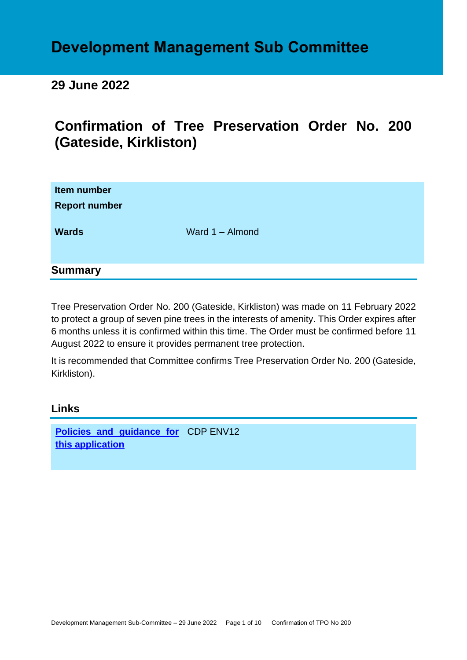# **Development Management Sub Committee**

# **29 June 2022**

# **Confirmation of Tree Preservation Order No. 200 (Gateside, Kirkliston)**

| Item number<br><b>Report number</b> |                 |
|-------------------------------------|-----------------|
| <b>Wards</b>                        | Ward 1 - Almond |
| <b>Summary</b>                      |                 |

Tree Preservation Order No. 200 (Gateside, Kirkliston) was made on 11 February 2022 to protect a group of seven pine trees in the interests of amenity. This Order expires after 6 months unless it is confirmed within this time. The Order must be confirmed before 11 August 2022 to ensure it provides permanent tree protection.

It is recommended that Committee confirms Tree Preservation Order No. 200 (Gateside, Kirkliston).

# **Links**

**[Policies and guidance for](file:///C:/uniform/temp/uf04148.rtf%23Policies)**  CDP ENV12 **[this application](file:///C:/uniform/temp/uf04148.rtf%23Policies)**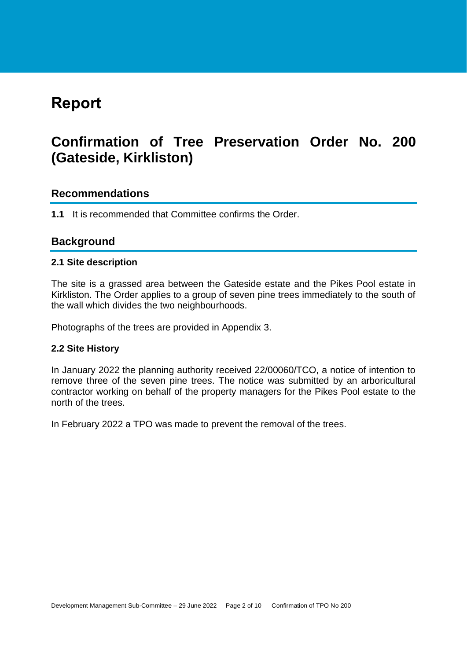# **Report**

# **Confirmation of Tree Preservation Order No. 200 (Gateside, Kirkliston)**

# **Recommendations**

**1.1** It is recommended that Committee confirms the Order.

# **Background**

#### **2.1 Site description**

The site is a grassed area between the Gateside estate and the Pikes Pool estate in Kirkliston. The Order applies to a group of seven pine trees immediately to the south of the wall which divides the two neighbourhoods.

Photographs of the trees are provided in Appendix 3.

### **2.2 Site History**

In January 2022 the planning authority received 22/00060/TCO, a notice of intention to remove three of the seven pine trees. The notice was submitted by an arboricultural contractor working on behalf of the property managers for the Pikes Pool estate to the north of the trees.

In February 2022 a TPO was made to prevent the removal of the trees.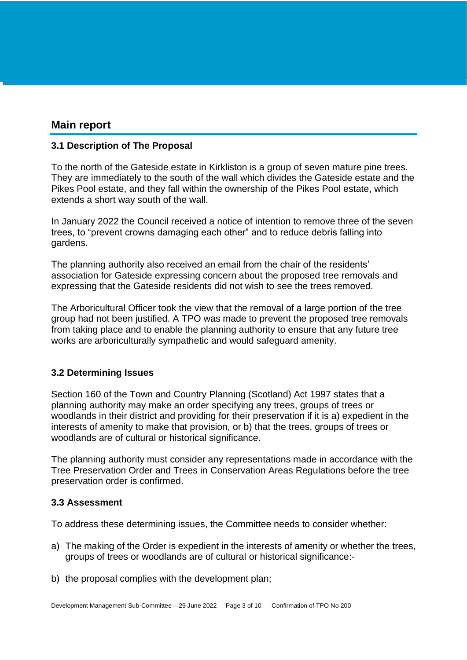# **Main report**

### **3.1 Description of The Proposal**

To the north of the Gateside estate in Kirkliston is a group of seven mature pine trees. They are immediately to the south of the wall which divides the Gateside estate and the Pikes Pool estate, and they fall within the ownership of the Pikes Pool estate, which extends a short way south of the wall.

In January 2022 the Council received a notice of intention to remove three of the seven trees, to "prevent crowns damaging each other" and to reduce debris falling into gardens.

The planning authority also received an email from the chair of the residents' association for Gateside expressing concern about the proposed tree removals and expressing that the Gateside residents did not wish to see the trees removed.

The Arboricultural Officer took the view that the removal of a large portion of the tree group had not been justified. A TPO was made to prevent the proposed tree removals from taking place and to enable the planning authority to ensure that any future tree works are arboriculturally sympathetic and would safeguard amenity.

### **3.2 Determining Issues**

Section 160 of the Town and Country Planning (Scotland) Act 1997 states that a planning authority may make an order specifying any trees, groups of trees or woodlands in their district and providing for their preservation if it is a) expedient in the interests of amenity to make that provision, or b) that the trees, groups of trees or woodlands are of cultural or historical significance.

The planning authority must consider any representations made in accordance with the Tree Preservation Order and Trees in Conservation Areas Regulations before the tree preservation order is confirmed.

### **3.3 Assessment**

To address these determining issues, the Committee needs to consider whether:

- a) The making of the Order is expedient in the interests of amenity or whether the trees, groups of trees or woodlands are of cultural or historical significance:-
- b) the proposal complies with the development plan;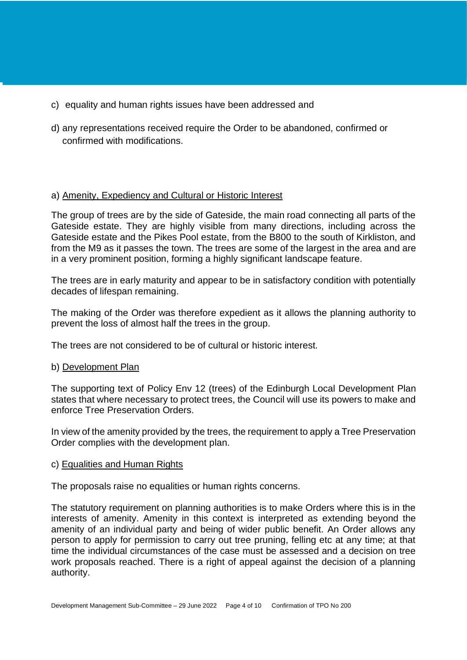- c) equality and human rights issues have been addressed and
- d) any representations received require the Order to be abandoned, confirmed or confirmed with modifications.

#### a) Amenity, Expediency and Cultural or Historic Interest

The group of trees are by the side of Gateside, the main road connecting all parts of the Gateside estate. They are highly visible from many directions, including across the Gateside estate and the Pikes Pool estate, from the B800 to the south of Kirkliston, and from the M9 as it passes the town. The trees are some of the largest in the area and are in a very prominent position, forming a highly significant landscape feature.

The trees are in early maturity and appear to be in satisfactory condition with potentially decades of lifespan remaining.

The making of the Order was therefore expedient as it allows the planning authority to prevent the loss of almost half the trees in the group.

The trees are not considered to be of cultural or historic interest.

#### b) Development Plan

The supporting text of Policy Env 12 (trees) of the Edinburgh Local Development Plan states that where necessary to protect trees, the Council will use its powers to make and enforce Tree Preservation Orders.

In view of the amenity provided by the trees, the requirement to apply a Tree Preservation Order complies with the development plan.

#### c) Equalities and Human Rights

The proposals raise no equalities or human rights concerns.

The statutory requirement on planning authorities is to make Orders where this is in the interests of amenity. Amenity in this context is interpreted as extending beyond the amenity of an individual party and being of wider public benefit. An Order allows any person to apply for permission to carry out tree pruning, felling etc at any time; at that time the individual circumstances of the case must be assessed and a decision on tree work proposals reached. There is a right of appeal against the decision of a planning authority.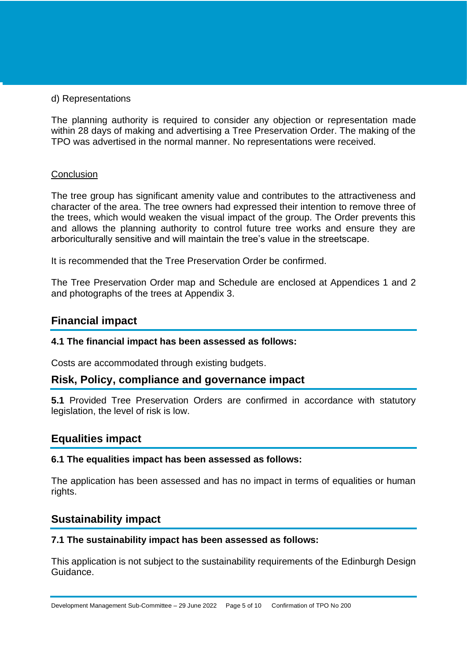#### d) Representations

The planning authority is required to consider any objection or representation made within 28 days of making and advertising a Tree Preservation Order. The making of the TPO was advertised in the normal manner. No representations were received.

#### **Conclusion**

The tree group has significant amenity value and contributes to the attractiveness and character of the area. The tree owners had expressed their intention to remove three of the trees, which would weaken the visual impact of the group. The Order prevents this and allows the planning authority to control future tree works and ensure they are arboriculturally sensitive and will maintain the tree's value in the streetscape.

It is recommended that the Tree Preservation Order be confirmed.

The Tree Preservation Order map and Schedule are enclosed at Appendices 1 and 2 and photographs of the trees at Appendix 3.

# **Financial impact**

### **4.1 The financial impact has been assessed as follows:**

Costs are accommodated through existing budgets.

# **Risk, Policy, compliance and governance impact**

**5.1** Provided Tree Preservation Orders are confirmed in accordance with statutory legislation, the level of risk is low.

# **Equalities impact**

#### **6.1 The equalities impact has been assessed as follows:**

The application has been assessed and has no impact in terms of equalities or human rights.

# **Sustainability impact**

#### **7.1 The sustainability impact has been assessed as follows:**

This application is not subject to the sustainability requirements of the Edinburgh Design Guidance.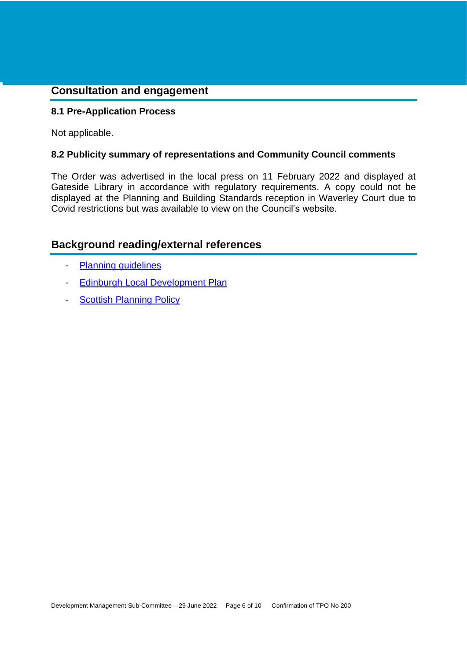# **Consultation and engagement**

### **8.1 Pre-Application Process**

Not applicable.

#### **8.2 Publicity summary of representations and Community Council comments**

The Order was advertised in the local press on 11 February 2022 and displayed at Gateside Library in accordance with regulatory requirements. A copy could not be displayed at the Planning and Building Standards reception in Waverley Court due to Covid restrictions but was available to view on the Council's website.

# **Background reading/external references**

- [Planning guidelines](http://www.edinburgh.gov.uk/planningguidelines)
- [Edinburgh Local Development Plan](http://www.edinburgh.gov.uk/localdevelopmentplan)
- **[Scottish Planning Policy](http://www.scotland.gov.uk/Topics/Built-Environment/planning/Policy)**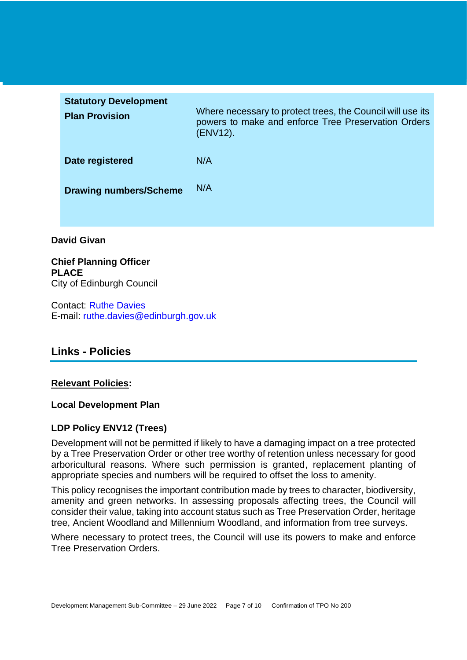| <b>Statutory Development</b><br><b>Plan Provision</b> | Where necessary to protect trees, the Council will use its<br>powers to make and enforce Tree Preservation Orders<br>(ENV12). |
|-------------------------------------------------------|-------------------------------------------------------------------------------------------------------------------------------|
| Date registered                                       | N/A                                                                                                                           |
| <b>Drawing numbers/Scheme</b>                         | N/A                                                                                                                           |
|                                                       |                                                                                                                               |

### **David Givan**

**Chief Planning Officer PLACE** City of Edinburgh Council

Contact: Ruthe Davies E-mail: ruthe.davies@edinburgh.gov.uk

# **Links - Policies**

#### **Relevant Policies:**

#### **Local Development Plan**

### **LDP Policy ENV12 (Trees)**

Development will not be permitted if likely to have a damaging impact on a tree protected by a Tree Preservation Order or other tree worthy of retention unless necessary for good arboricultural reasons. Where such permission is granted, replacement planting of appropriate species and numbers will be required to offset the loss to amenity.

This policy recognises the important contribution made by trees to character, biodiversity, amenity and green networks. In assessing proposals affecting trees, the Council will consider their value, taking into account status such as Tree Preservation Order, heritage tree, Ancient Woodland and Millennium Woodland, and information from tree surveys.

Where necessary to protect trees, the Council will use its powers to make and enforce Tree Preservation Orders.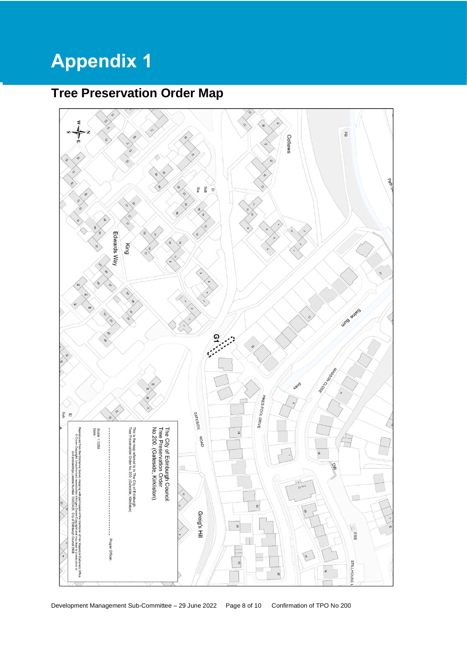# **Appendix 1**

# **Tree Preservation Order Map**

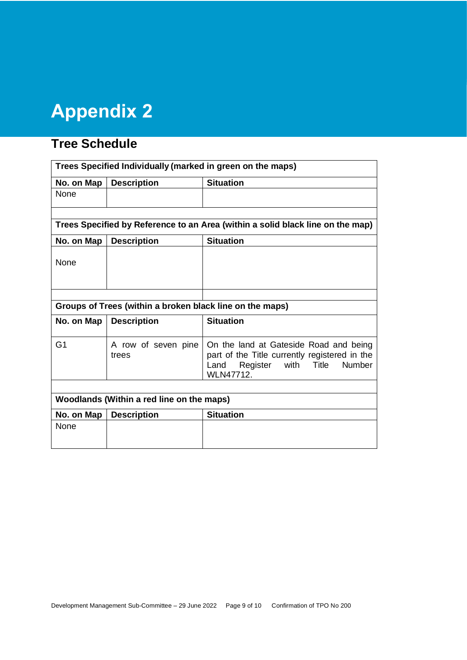# **Appendix 2**

# **Tree Schedule**

| Trees Specified Individually (marked in green on the maps)                     |                              |                                                                                                                                                      |  |
|--------------------------------------------------------------------------------|------------------------------|------------------------------------------------------------------------------------------------------------------------------------------------------|--|
| No. on Map                                                                     | <b>Description</b>           | <b>Situation</b>                                                                                                                                     |  |
| None                                                                           |                              |                                                                                                                                                      |  |
|                                                                                |                              |                                                                                                                                                      |  |
| Trees Specified by Reference to an Area (within a solid black line on the map) |                              |                                                                                                                                                      |  |
| No. on Map                                                                     | <b>Description</b>           | <b>Situation</b>                                                                                                                                     |  |
| None                                                                           |                              |                                                                                                                                                      |  |
|                                                                                |                              |                                                                                                                                                      |  |
| Groups of Trees (within a broken black line on the maps)                       |                              |                                                                                                                                                      |  |
| No. on Map                                                                     | <b>Description</b>           | <b>Situation</b>                                                                                                                                     |  |
| G <sub>1</sub>                                                                 | A row of seven pine<br>trees | On the land at Gateside Road and being<br>part of the Title currently registered in the<br>Register with Title<br>Number<br>Land<br><b>WLN47712.</b> |  |
|                                                                                |                              |                                                                                                                                                      |  |
| Woodlands (Within a red line on the maps)                                      |                              |                                                                                                                                                      |  |
| No. on Map                                                                     | <b>Description</b>           | <b>Situation</b>                                                                                                                                     |  |
| None                                                                           |                              |                                                                                                                                                      |  |